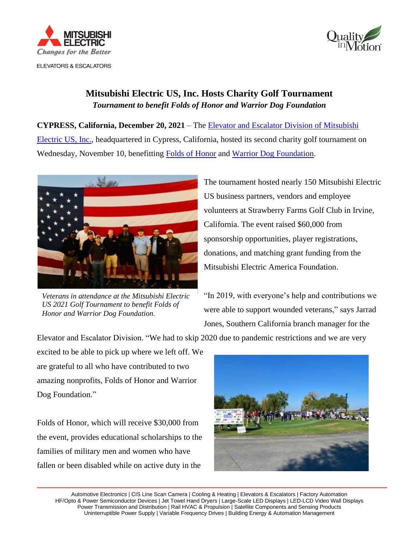



## **Mitsubishi Electric US, Inc. Hosts Charity Golf Tournament** *Tournament to benefit Folds of Honor and Warrior Dog Foundation*

**CYPRESS, California, December 20, 2021** – The [Elevator and Escalator Division of Mitsubishi](http://www.mitsubishielevator.com/)  [Electric US, Inc.,](http://www.mitsubishielevator.com/) headquartered in Cypress, California, hosted its second charity golf tournament on Wednesday, November 10, benefitting [Folds of Honor](https://foldsofhonor.org/) and [Warrior Dog Foundation.](https://warriordogfoundation.org/)



*Veterans in attendance at the Mitsubishi Electric US 2021 Golf Tournament to benefit Folds of Honor and Warrior Dog Foundation.*

The tournament hosted nearly 150 Mitsubishi Electric US business partners, vendors and employee volunteers at Strawberry Farms Golf Club in Irvine, California. The event raised \$60,000 from sponsorship opportunities, player registrations, donations, and matching grant funding from the Mitsubishi Electric America Foundation.

"In 2019, with everyone's help and contributions we were able to support wounded veterans," says Jarrad Jones, Southern California branch manager for the

Elevator and Escalator Division. "We had to skip 2020 due to pandemic restrictions and we are very

excited to be able to pick up where we left off. We are grateful to all who have contributed to two amazing nonprofits, Folds of Honor and Warrior Dog Foundation."

Folds of Honor, which will receive \$30,000 from the event, provides educational scholarships to the families of military men and women who have fallen or been disabled while on active duty in the



 Automotive Electronics | CIS Line Scan Camera | Cooling & Heating | Elevators & Escalators | Factory Automation HF/Opto & Power Semiconductor Devices | Jet Towel Hand Dryers | Large-Scale LED Displays | LED-LCD Video Wall Displays Power Transmission and Distribution | Rail HVAC & Propulsion | Satellite Components and Sensing Products Uninterruptible Power Supply | Variable Frequency Drives | Building Energy & Automation Management